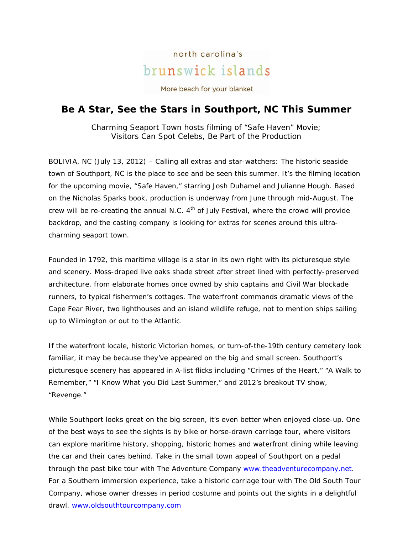## north carolina's brunswick islands

More beach for your blanket

## **Be A Star, See the Stars in Southport, NC This Summer**

*Charming Seaport Town hosts filming of "Safe Haven" Movie; Visitors Can Spot Celebs, Be Part of the Production* 

BOLIVIA, NC (July 13, 2012) – Calling all extras and star-watchers: The historic seaside town of Southport, NC is the place to see and be seen this summer. It's the filming location for the upcoming movie, "Safe Haven," starring Josh Duhamel and Julianne Hough. Based on the Nicholas Sparks book, production is underway from June through mid-August. The crew will be re-creating the annual N.C.  $4<sup>th</sup>$  of July Festival, where the crowd will provide backdrop, and the casting company is looking for extras for scenes around this ultracharming seaport town.

Founded in 1792, this maritime village is a star in its own right with its picturesque style and scenery. Moss-draped live oaks shade street after street lined with perfectly-preserved architecture, from elaborate homes once owned by ship captains and Civil War blockade runners, to typical fishermen's cottages. The waterfront commands dramatic views of the Cape Fear River, two lighthouses and an island wildlife refuge, not to mention ships sailing up to Wilmington or out to the Atlantic.

If the waterfront locale, historic Victorian homes, or turn-of-the-19th century cemetery look familiar, it may be because they've appeared on the big and small screen. Southport's picturesque scenery has appeared in A-list flicks including "Crimes of the Heart," "A Walk to Remember," "I Know What you Did Last Summer," and 2012's breakout TV show, "Revenge."

While Southport looks great on the big screen, it's even better when enjoyed close-up. One of the best ways to see the sights is by bike or horse-drawn carriage tour, where visitors can explore maritime history, shopping, historic homes and waterfront dining while leaving the car and their cares behind. Take in the small town appeal of Southport on a pedal through the past bike tour with The Adventure Company www.theadventurecompany.net. For a Southern immersion experience, take a historic carriage tour with The Old South Tour Company, whose owner dresses in period costume and points out the sights in a delightful drawl. www.oldsouthtourcompany.com